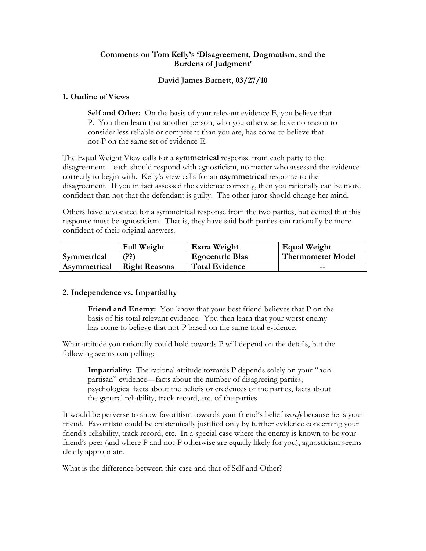## **Comments on Tom Kelly's 'Disagreement, Dogmatism, and the Burdens of Judgment'**

# **David James Barnett, 03/27/10**

## **1. Outline of Views**

**Self and Other:** On the basis of your relevant evidence E, you believe that P. You then learn that another person, who you otherwise have no reason to consider less reliable or competent than you are, has come to believe that not-P on the same set of evidence E.

The Equal Weight View calls for a **symmetrical** response from each party to the disagreement—each should respond with agnosticism, no matter who assessed the evidence correctly to begin with. Kelly's view calls for an **asymmetrical** response to the disagreement. If you in fact assessed the evidence correctly, then you rationally can be more confident than not that the defendant is guilty. The other juror should change her mind.

Others have advocated for a symmetrical response from the two parties, but denied that this response must be agnosticism. That is, they have said both parties can rationally be more confident of their original answers.

|              | <b>Full Weight</b>   | Extra Weight           | Equal Weight             |
|--------------|----------------------|------------------------|--------------------------|
| Symmetrical  | (??)                 | <b>Egocentric Bias</b> | <b>Thermometer Model</b> |
| Asymmetrical | <b>Right Reasons</b> | <b>Total Evidence</b>  | --                       |

# **2. Independence vs. Impartiality**

**Friend and Enemy:** You know that your best friend believes that P on the basis of his total relevant evidence. You then learn that your worst enemy has come to believe that not-P based on the same total evidence.

What attitude you rationally could hold towards P will depend on the details, but the following seems compelling:

**Impartiality:** The rational attitude towards P depends solely on your "nonpartisan" evidence—facts about the number of disagreeing parties, psychological facts about the beliefs or credences of the parties, facts about the general reliability, track record, etc. of the parties.

It would be perverse to show favoritism towards your friend's belief *merely* because he is your friend. Favoritism could be epistemically justified only by further evidence concerning your friend's reliability, track record, etc. In a special case where the enemy is known to be your friend's peer (and where P and not-P otherwise are equally likely for you), agnosticism seems clearly appropriate.

What is the difference between this case and that of Self and Other?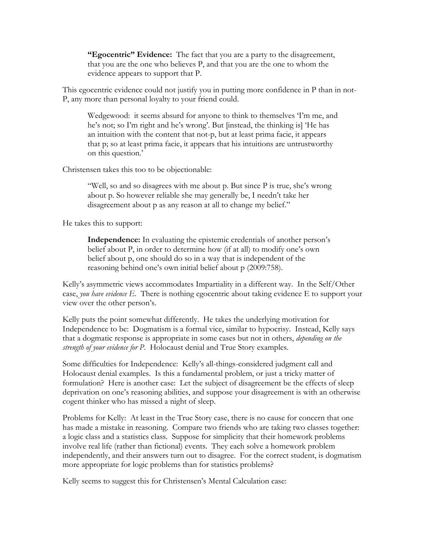**"Egocentric" Evidence:** The fact that you are a party to the disagreement, that you are the one who believes P, and that you are the one to whom the evidence appears to support that P.

This egocentric evidence could not justify you in putting more confidence in P than in not-P, any more than personal loyalty to your friend could.

Wedgewood: it seems absurd for anyone to think to themselves 'I'm me, and he's not; so I'm right and he's wrong'. But [instead, the thinking is] 'He has an intuition with the content that not-p, but at least prima facie, it appears that p; so at least prima facie, it appears that his intuitions are untrustworthy on this question.'

Christensen takes this too to be objectionable:

"Well, so and so disagrees with me about p. But since P is true, she's wrong about p. So however reliable she may generally be, I needn't take her disagreement about p as any reason at all to change my belief."

He takes this to support:

**Independence:** In evaluating the epistemic credentials of another person's belief about P, in order to determine how (if at all) to modify one's own belief about p, one should do so in a way that is independent of the reasoning behind one's own initial belief about p (2009:758).

Kelly's asymmetric views accommodates Impartiality in a different way. In the Self/Other case, *you have evidence E*. There is nothing egocentric about taking evidence E to support your view over the other person's.

Kelly puts the point somewhat differently. He takes the underlying motivation for Independence to be: Dogmatism is a formal vice, similar to hypocrisy. Instead, Kelly says that a dogmatic response is appropriate in some cases but not in others, *depending on the strength of your evidence for P*. Holocaust denial and True Story examples.

Some difficulties for Independence: Kelly's all-things-considered judgment call and Holocaust denial examples. Is this a fundamental problem, or just a tricky matter of formulation? Here is another case: Let the subject of disagreement be the effects of sleep deprivation on one's reasoning abilities, and suppose your disagreement is with an otherwise cogent thinker who has missed a night of sleep.

Problems for Kelly: At least in the True Story case, there is no cause for concern that one has made a mistake in reasoning. Compare two friends who are taking two classes together: a logic class and a statistics class. Suppose for simplicity that their homework problems involve real life (rather than fictional) events. They each solve a homework problem independently, and their answers turn out to disagree. For the correct student, is dogmatism more appropriate for logic problems than for statistics problems?

Kelly seems to suggest this for Christensen's Mental Calculation case: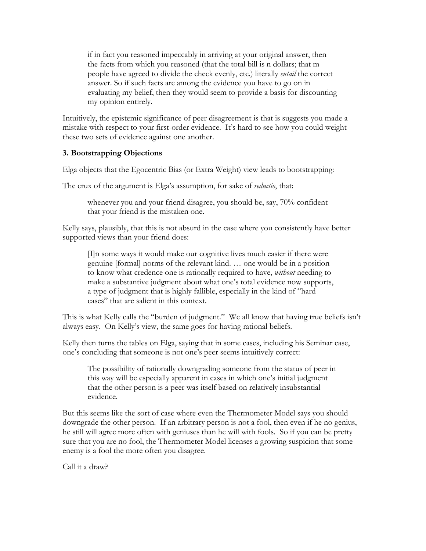if in fact you reasoned impeccably in arriving at your original answer, then the facts from which you reasoned (that the total bill is n dollars; that m people have agreed to divide the check evenly, etc.) literally *entail* the correct answer. So if such facts are among the evidence you have to go on in evaluating my belief, then they would seem to provide a basis for discounting my opinion entirely.

Intuitively, the epistemic significance of peer disagreement is that is suggests you made a mistake with respect to your first-order evidence. It's hard to see how you could weight these two sets of evidence against one another.

# **3. Bootstrapping Objections**

Elga objects that the Egocentric Bias (or Extra Weight) view leads to bootstrapping:

The crux of the argument is Elga's assumption, for sake of *reductio*, that:

whenever you and your friend disagree, you should be, say, 70% confident that your friend is the mistaken one.

Kelly says, plausibly, that this is not absurd in the case where you consistently have better supported views than your friend does:

[I]n some ways it would make our cognitive lives much easier if there were genuine [formal] norms of the relevant kind. … one would be in a position to know what credence one is rationally required to have, *without* needing to make a substantive judgment about what one's total evidence now supports, a type of judgment that is highly fallible, especially in the kind of "hard cases" that are salient in this context.

This is what Kelly calls the "burden of judgment." We all know that having true beliefs isn't always easy. On Kelly's view, the same goes for having rational beliefs.

Kelly then turns the tables on Elga, saying that in some cases, including his Seminar case, one's concluding that someone is not one's peer seems intuitively correct:

The possibility of rationally downgrading someone from the status of peer in this way will be especially apparent in cases in which one's initial judgment that the other person is a peer was itself based on relatively insubstantial evidence.

But this seems like the sort of case where even the Thermometer Model says you should downgrade the other person. If an arbitrary person is not a fool, then even if he no genius, he still will agree more often with geniuses than he will with fools. So if you can be pretty sure that you are no fool, the Thermometer Model licenses a growing suspicion that some enemy is a fool the more often you disagree.

Call it a draw?